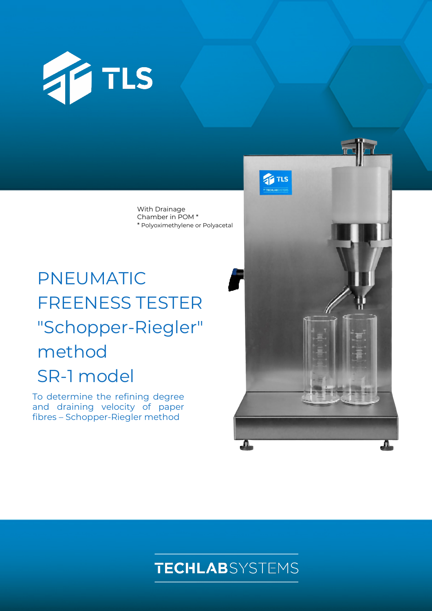

With Drainage Chamber in POM \* \* Polyoximethylene or Polyacetal

# PNEUMATIC FREENESS TESTER "Schopper-Riegler" method SR-1 model

To determine the refining degree and draining velocity of paper fibres – Schopper-Riegler method



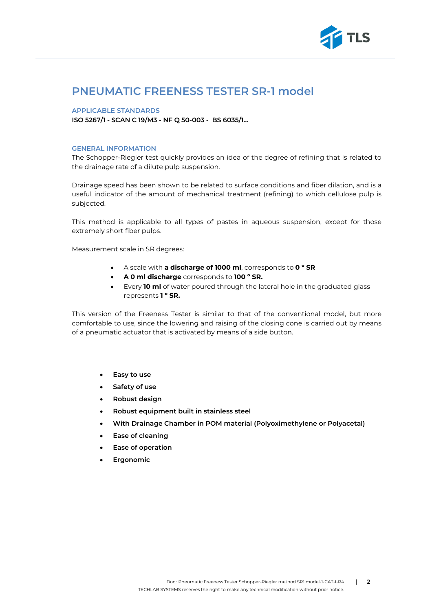

# **PNEUMATIC FREENESS TESTER SR-1 model**

#### **APPLICABLE STANDARDS**

**ISO 5267/1 - SCAN C 19/M3 - NF Q 50-003 - BS 6035/1…**

#### **GENERAL INFORMATION**

The Schopper-Riegler test quickly provides an idea of the degree of refining that is related to the drainage rate of a dilute pulp suspension.

Drainage speed has been shown to be related to surface conditions and fiber dilation, and is a useful indicator of the amount of mechanical treatment (refining) to which cellulose pulp is subjected.

This method is applicable to all types of pastes in aqueous suspension, except for those extremely short fiber pulps.

Measurement scale in SR degrees:

- A scale with **a discharge of 1000 ml**, corresponds to **0 º SR**
- **A 0 ml discharge** corresponds to **100 º SR.**
- Every **10 ml** of water poured through the lateral hole in the graduated glass represents **1 º SR.**

This version of the Freeness Tester is similar to that of the conventional model, but more comfortable to use, since the lowering and raising of the closing cone is carried out by means of a pneumatic actuator that is activated by means of a side button.

- **Easy to use**
- **Safety of use**
- **Robust design**
- **Robust equipment built in stainless steel**
- **With Drainage Chamber in POM material (Polyoximethylene or Polyacetal)**
- **Ease of cleaning**
- **Ease of operation**
- **Ergonomic**